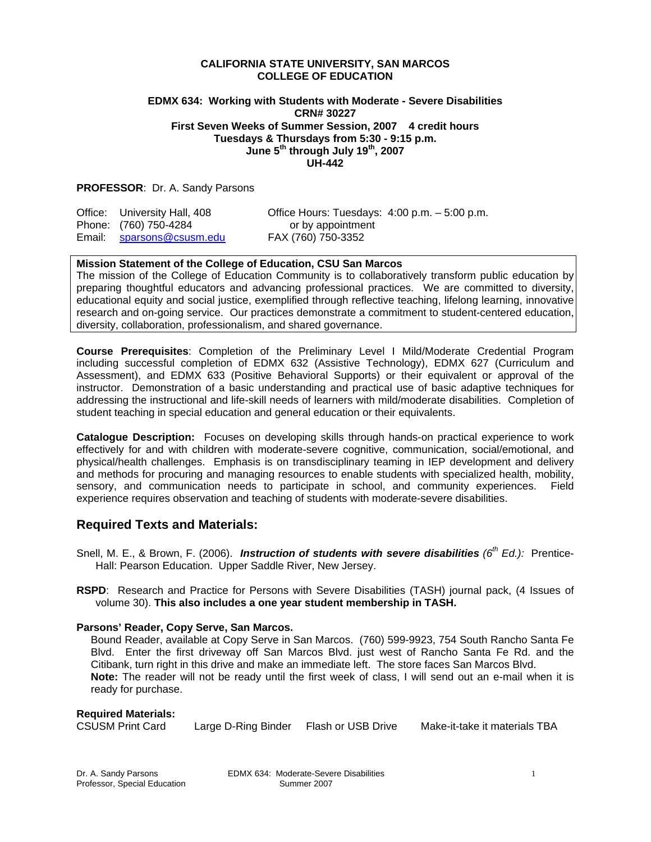### **CALIFORNIA STATE UNIVERSITY, SAN MARCOS COLLEGE OF EDUCATION**

### **EDMX 634: Working with Students with Moderate - Severe Disabilities CRN# 30227 First Seven Weeks of Summer Session, 2007 4 credit hours Tuesdays & Thursdays from 5:30 - 9:15 p.m. June 5th through July 19th, 2007 UH-442**

### **PROFESSOR**: Dr. A. Sandy Parsons

| Office: University Hall, 408 | Office Hours: Tuesdays: $4:00$ p.m. $-5:00$ p.m. |
|------------------------------|--------------------------------------------------|
| Phone: (760) 750-4284        | or by appointment                                |
| Email: sparsons@csusm.edu    | FAX (760) 750-3352                               |

### **Mission Statement of the College of Education, CSU San Marcos**

The mission of the College of Education Community is to collaboratively transform public education by preparing thoughtful educators and advancing professional practices. We are committed to diversity, educational equity and social justice, exemplified through reflective teaching, lifelong learning, innovative research and on-going service. Our practices demonstrate a commitment to student-centered education, diversity, collaboration, professionalism, and shared governance.

**Course Prerequisites**: Completion of the Preliminary Level I Mild/Moderate Credential Program including successful completion of EDMX 632 (Assistive Technology), EDMX 627 (Curriculum and Assessment), and EDMX 633 (Positive Behavioral Supports) or their equivalent or approval of the instructor. Demonstration of a basic understanding and practical use of basic adaptive techniques for addressing the instructional and life-skill needs of learners with mild/moderate disabilities. Completion of student teaching in special education and general education or their equivalents.

**Catalogue Description:** Focuses on developing skills through hands-on practical experience to work effectively for and with children with moderate-severe cognitive, communication, social/emotional, and physical/health challenges. Emphasis is on transdisciplinary teaming in IEP development and delivery and methods for procuring and managing resources to enable students with specialized health, mobility, sensory, and communication needs to participate in school, and community experiences. Field experience requires observation and teaching of students with moderate-severe disabilities.

## **Required Texts and Materials:**

- Snell, M. E., & Brown, F. (2006). *Instruction of students with severe disabilities (6th Ed.):* Prentice-Hall: Pearson Education. Upper Saddle River, New Jersey.
- **RSPD**: Research and Practice for Persons with Severe Disabilities (TASH) journal pack, (4 Issues of volume 30). **This also includes a one year student membership in TASH.**

#### **Parsons' Reader, Copy Serve, San Marcos.**

Bound Reader, available at Copy Serve in San Marcos. (760) 599-9923, 754 South Rancho Santa Fe Blvd. Enter the first driveway off San Marcos Blvd. just west of Rancho Santa Fe Rd. and the Citibank, turn right in this drive and make an immediate left. The store faces San Marcos Blvd. **Note:** The reader will not be ready until the first week of class, I will send out an e-mail when it is ready for purchase.

### **Required Materials:**

CSUSM Print Card Large D-Ring Binder Flash or USB Drive Make-it-take it materials TBA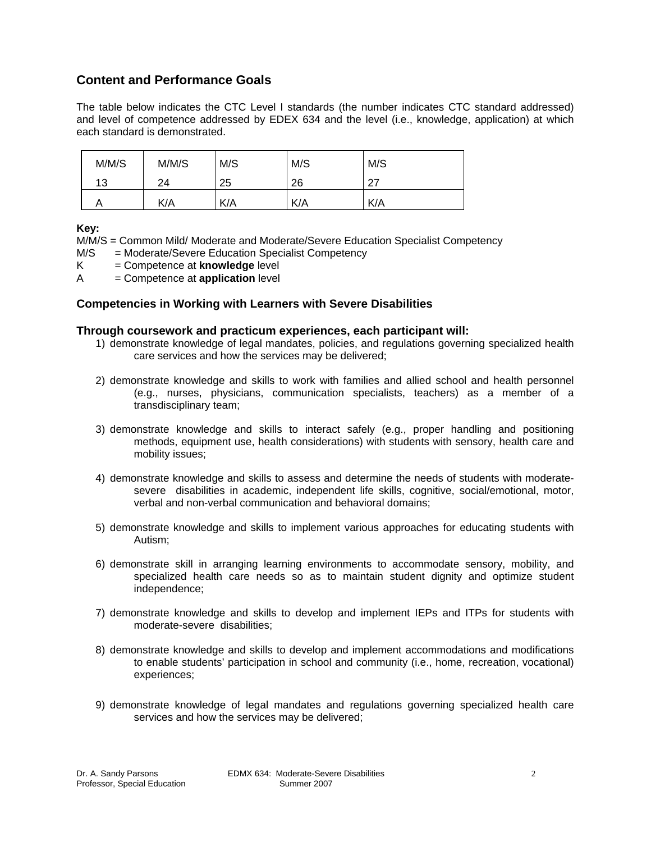# **Content and Performance Goals**

The table below indicates the CTC Level I standards (the number indicates CTC standard addressed) and level of competence addressed by EDEX 634 and the level (i.e., knowledge, application) at which each standard is demonstrated.

| M/M/S | M/M/S | M/S | M/S | M/S  |
|-------|-------|-----|-----|------|
| 13    | 24    | 25  | 26  | - 27 |
|       | K/A   | K/A | K/A | K/A  |

**Key:** 

M/M/S = Common Mild/ Moderate and Moderate/Severe Education Specialist Competency

- M/S = Moderate/Severe Education Specialist Competency
- K = Competence at **knowledge** level
- A = Competence at **application** level

## **Competencies in Working with Learners with Severe Disabilities**

## **Through coursework and practicum experiences, each participant will:**

- 1) demonstrate knowledge of legal mandates, policies, and regulations governing specialized health care services and how the services may be delivered;
- 2) demonstrate knowledge and skills to work with families and allied school and health personnel (e.g., nurses, physicians, communication specialists, teachers) as a member of a transdisciplinary team;
- 3) demonstrate knowledge and skills to interact safely (e.g., proper handling and positioning methods, equipment use, health considerations) with students with sensory, health care and mobility issues;
- 4) demonstrate knowledge and skills to assess and determine the needs of students with moderatesevere disabilities in academic, independent life skills, cognitive, social/emotional, motor, verbal and non-verbal communication and behavioral domains;
- 5) demonstrate knowledge and skills to implement various approaches for educating students with Autism;
- 6) demonstrate skill in arranging learning environments to accommodate sensory, mobility, and specialized health care needs so as to maintain student dignity and optimize student independence;
- 7) demonstrate knowledge and skills to develop and implement IEPs and ITPs for students with moderate-severe disabilities;
- 8) demonstrate knowledge and skills to develop and implement accommodations and modifications to enable students' participation in school and community (i.e., home, recreation, vocational) experiences;
- 9) demonstrate knowledge of legal mandates and regulations governing specialized health care services and how the services may be delivered;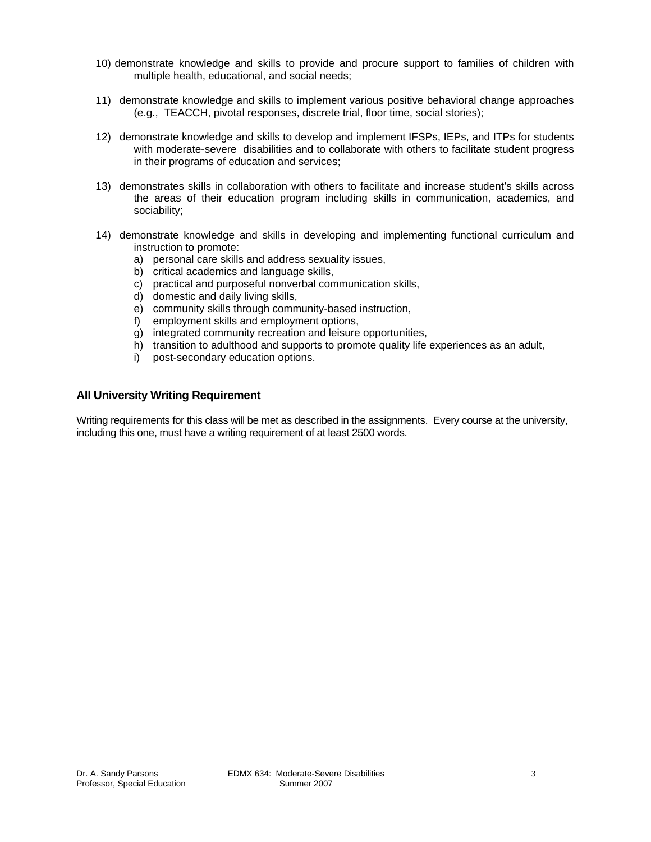- 10) demonstrate knowledge and skills to provide and procure support to families of children with multiple health, educational, and social needs;
- 11) demonstrate knowledge and skills to implement various positive behavioral change approaches (e.g., TEACCH, pivotal responses, discrete trial, floor time, social stories);
- 12) demonstrate knowledge and skills to develop and implement IFSPs, IEPs, and ITPs for students with moderate-severe disabilities and to collaborate with others to facilitate student progress in their programs of education and services;
- 13) demonstrates skills in collaboration with others to facilitate and increase student's skills across the areas of their education program including skills in communication, academics, and sociability;
- 14) demonstrate knowledge and skills in developing and implementing functional curriculum and instruction to promote:
	- a) personal care skills and address sexuality issues,
	- b) critical academics and language skills,
	- c) practical and purposeful nonverbal communication skills,
	- d) domestic and daily living skills,
	- e) community skills through community-based instruction,
	- f) employment skills and employment options,
	- g) integrated community recreation and leisure opportunities,
	- h) transition to adulthood and supports to promote quality life experiences as an adult,
	- i) post-secondary education options.

## **All University Writing Requirement**

Writing requirements for this class will be met as described in the assignments. Every course at the university, including this one, must have a writing requirement of at least 2500 words.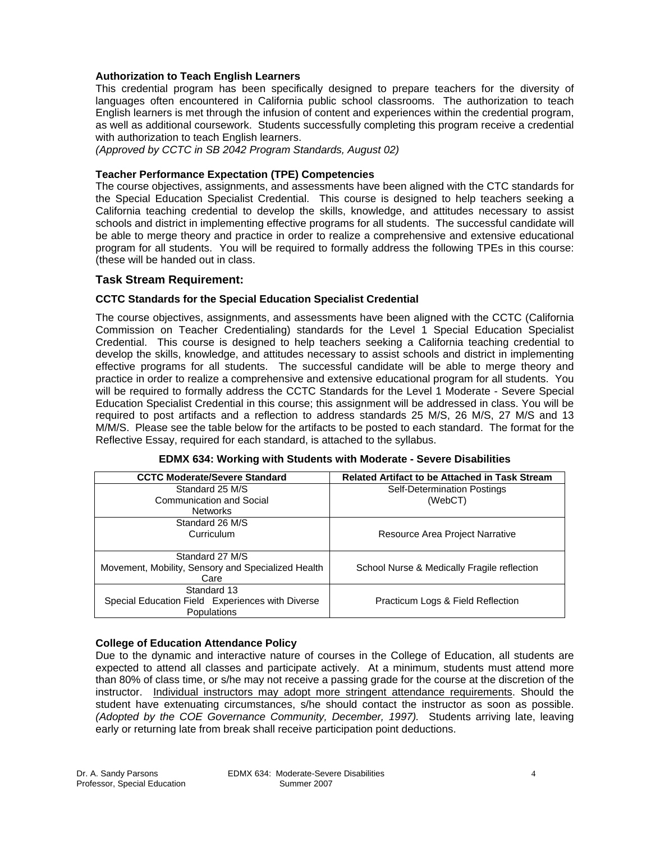## **Authorization to Teach English Learners**

This credential program has been specifically designed to prepare teachers for the diversity of languages often encountered in California public school classrooms. The authorization to teach English learners is met through the infusion of content and experiences within the credential program, as well as additional coursework. Students successfully completing this program receive a credential with authorization to teach English learners.

*(Approved by CCTC in SB 2042 Program Standards, August 02)*

### **Teacher Performance Expectation (TPE) Competencies**

The course objectives, assignments, and assessments have been aligned with the CTC standards for the Special Education Specialist Credential. This course is designed to help teachers seeking a California teaching credential to develop the skills, knowledge, and attitudes necessary to assist schools and district in implementing effective programs for all students. The successful candidate will be able to merge theory and practice in order to realize a comprehensive and extensive educational program for all students. You will be required to formally address the following TPEs in this course: (these will be handed out in class.

## **Task Stream Requirement:**

## **CCTC Standards for the Special Education Specialist Credential**

The course objectives, assignments, and assessments have been aligned with the CCTC (California Commission on Teacher Credentialing) standards for the Level 1 Special Education Specialist Credential. This course is designed to help teachers seeking a California teaching credential to develop the skills, knowledge, and attitudes necessary to assist schools and district in implementing effective programs for all students. The successful candidate will be able to merge theory and practice in order to realize a comprehensive and extensive educational program for all students. You will be required to formally address the CCTC Standards for the Level 1 Moderate - Severe Special Education Specialist Credential in this course; this assignment will be addressed in class. You will be required to post artifacts and a reflection to address standards 25 M/S, 26 M/S, 27 M/S and 13 M/M/S. Please see the table below for the artifacts to be posted to each standard. The format for the Reflective Essay, required for each standard, is attached to the syllabus.

| <b>CCTC Moderate/Severe Standard</b>               | <b>Related Artifact to be Attached in Task Stream</b> |
|----------------------------------------------------|-------------------------------------------------------|
| Standard 25 M/S                                    | <b>Self-Determination Postings</b>                    |
| Communication and Social                           | (WebCT)                                               |
| <b>Networks</b>                                    |                                                       |
| Standard 26 M/S                                    |                                                       |
| Curriculum                                         | Resource Area Project Narrative                       |
|                                                    |                                                       |
| Standard 27 M/S                                    |                                                       |
| Movement, Mobility, Sensory and Specialized Health | School Nurse & Medically Fragile reflection           |
| Care                                               |                                                       |
| Standard 13                                        |                                                       |
| Special Education Field Experiences with Diverse   | Practicum Logs & Field Reflection                     |
| <b>Populations</b>                                 |                                                       |

|  |  | <b>EDMX 634: Working with Students with Moderate - Severe Disabilities</b> |
|--|--|----------------------------------------------------------------------------|
|--|--|----------------------------------------------------------------------------|

## **College of Education Attendance Policy**

Due to the dynamic and interactive nature of courses in the College of Education, all students are expected to attend all classes and participate actively. At a minimum, students must attend more than 80% of class time, or s/he may not receive a passing grade for the course at the discretion of the instructor. Individual instructors may adopt more stringent attendance requirements. Should the student have extenuating circumstances, s/he should contact the instructor as soon as possible. *(Adopted by the COE Governance Community, December, 1997).* Students arriving late, leaving early or returning late from break shall receive participation point deductions.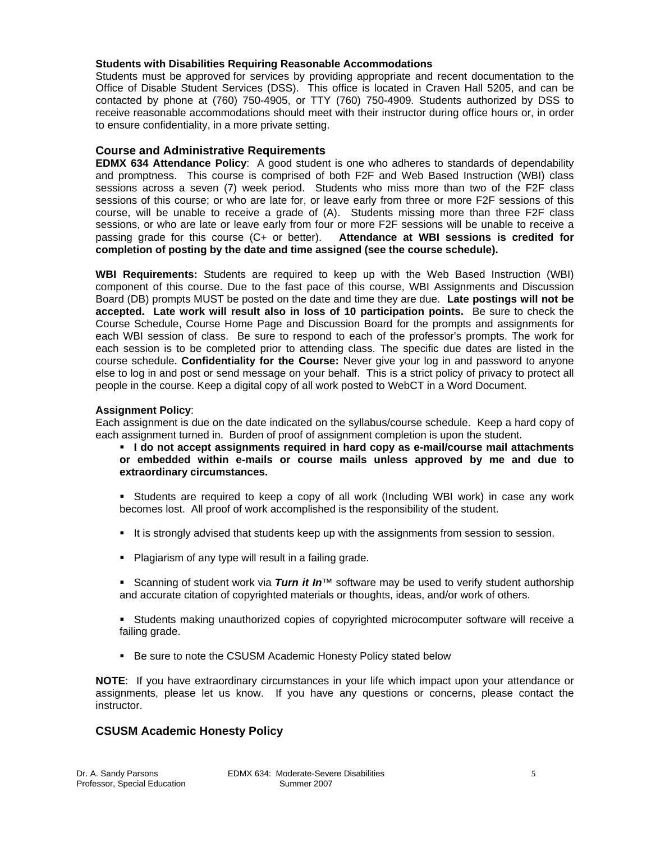## **Students with Disabilities Requiring Reasonable Accommodations**

Students must be approved for services by providing appropriate and recent documentation to the Office of Disable Student Services (DSS). This office is located in Craven Hall 5205, and can be contacted by phone at (760) 750-4905, or TTY (760) 750-4909. Students authorized by DSS to receive reasonable accommodations should meet with their instructor during office hours or, in order to ensure confidentiality, in a more private setting.

## **Course and Administrative Requirements**

**EDMX 634 Attendance Policy**: A good student is one who adheres to standards of dependability and promptness. This course is comprised of both F2F and Web Based Instruction (WBI) class sessions across a seven (7) week period. Students who miss more than two of the F2F class sessions of this course; or who are late for, or leave early from three or more F2F sessions of this course, will be unable to receive a grade of (A). Students missing more than three F2F class sessions, or who are late or leave early from four or more F2F sessions will be unable to receive a passing grade for this course (C+ or better). **Attendance at WBI sessions is credited for completion of posting by the date and time assigned (see the course schedule).**

**WBI Requirements:** Students are required to keep up with the Web Based Instruction (WBI) component of this course. Due to the fast pace of this course, WBI Assignments and Discussion Board (DB) prompts MUST be posted on the date and time they are due. **Late postings will not be accepted. Late work will result also in loss of 10 participation points.** Be sure to check the Course Schedule, Course Home Page and Discussion Board for the prompts and assignments for each WBI session of class. Be sure to respond to each of the professor's prompts. The work for each session is to be completed prior to attending class. The specific due dates are listed in the course schedule. **Confidentiality for the Course:** Never give your log in and password to anyone else to log in and post or send message on your behalf. This is a strict policy of privacy to protect all people in the course. Keep a digital copy of all work posted to WebCT in a Word Document.

## **Assignment Policy**:

Each assignment is due on the date indicated on the syllabus/course schedule. Keep a hard copy of each assignment turned in. Burden of proof of assignment completion is upon the student.

- **I do not accept assignments required in hard copy as e-mail/course mail attachments or embedded within e-mails or course mails unless approved by me and due to extraordinary circumstances.**
- **Students are required to keep a copy of all work (Including WBI work) in case any work** becomes lost. All proof of work accomplished is the responsibility of the student.
- It is strongly advised that students keep up with the assignments from session to session.
- **Plagiarism of any type will result in a failing grade.**
- Scanning of student work via *Turn it In*™ software may be used to verify student authorship and accurate citation of copyrighted materials or thoughts, ideas, and/or work of others.
- Students making unauthorized copies of copyrighted microcomputer software will receive a failing grade.
- **Be sure to note the CSUSM Academic Honesty Policy stated below**

**NOTE**: If you have extraordinary circumstances in your life which impact upon your attendance or assignments, please let us know. If you have any questions or concerns, please contact the instructor.

## **CSUSM Academic Honesty Policy**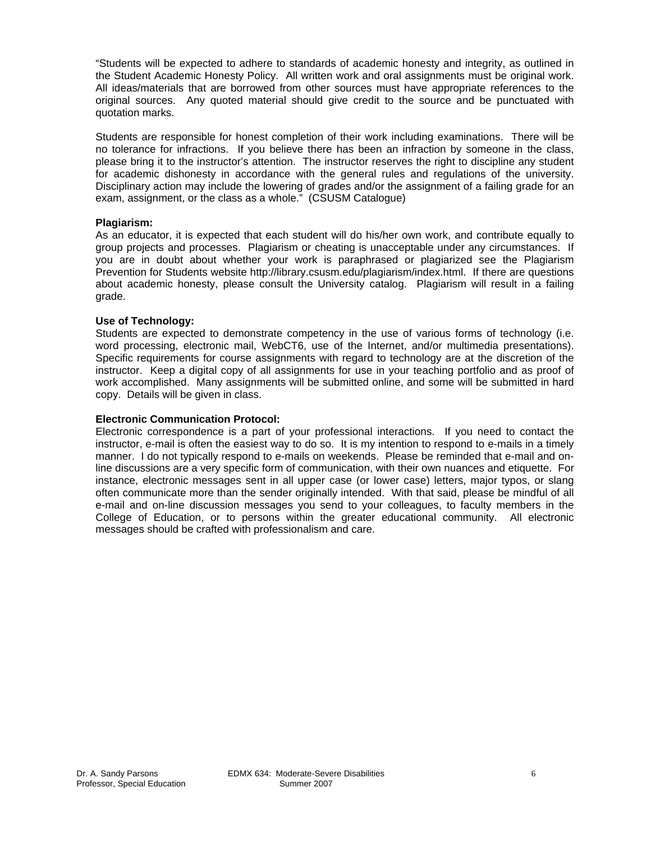"Students will be expected to adhere to standards of academic honesty and integrity, as outlined in the Student Academic Honesty Policy. All written work and oral assignments must be original work. All ideas/materials that are borrowed from other sources must have appropriate references to the original sources. Any quoted material should give credit to the source and be punctuated with quotation marks.

Students are responsible for honest completion of their work including examinations. There will be no tolerance for infractions. If you believe there has been an infraction by someone in the class, please bring it to the instructor's attention. The instructor reserves the right to discipline any student for academic dishonesty in accordance with the general rules and regulations of the university. Disciplinary action may include the lowering of grades and/or the assignment of a failing grade for an exam, assignment, or the class as a whole." (CSUSM Catalogue)

## **Plagiarism:**

As an educator, it is expected that each student will do his/her own work, and contribute equally to group projects and processes. Plagiarism or cheating is unacceptable under any circumstances. If you are in doubt about whether your work is paraphrased or plagiarized see the Plagiarism Prevention for Students website http://library.csusm.edu/plagiarism/index.html. If there are questions about academic honesty, please consult the University catalog. Plagiarism will result in a failing grade.

## **Use of Technology:**

Students are expected to demonstrate competency in the use of various forms of technology (i.e. word processing, electronic mail, WebCT6, use of the Internet, and/or multimedia presentations). Specific requirements for course assignments with regard to technology are at the discretion of the instructor. Keep a digital copy of all assignments for use in your teaching portfolio and as proof of work accomplished. Many assignments will be submitted online, and some will be submitted in hard copy. Details will be given in class.

### **Electronic Communication Protocol:**

Electronic correspondence is a part of your professional interactions. If you need to contact the instructor, e-mail is often the easiest way to do so. It is my intention to respond to e-mails in a timely manner. I do not typically respond to e-mails on weekends. Please be reminded that e-mail and online discussions are a very specific form of communication, with their own nuances and etiquette. For instance, electronic messages sent in all upper case (or lower case) letters, major typos, or slang often communicate more than the sender originally intended. With that said, please be mindful of all e-mail and on-line discussion messages you send to your colleagues, to faculty members in the College of Education, or to persons within the greater educational community. All electronic messages should be crafted with professionalism and care.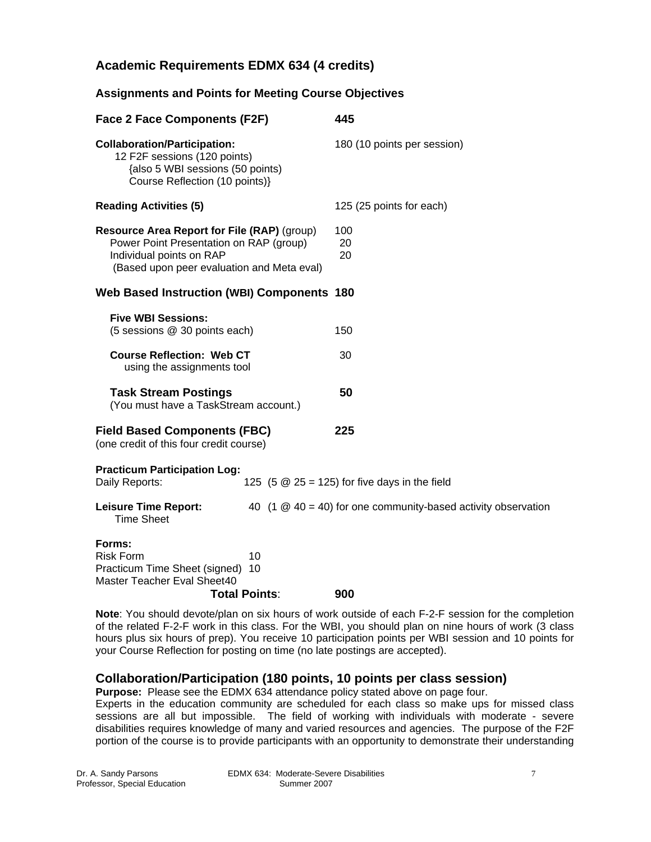# **Academic Requirements EDMX 634 (4 credits)**

## **Assignments and Points for Meeting Course Objectives**

| <b>Face 2 Face Components (F2F)</b>                                                                                                                              | 445                                                                           |  |
|------------------------------------------------------------------------------------------------------------------------------------------------------------------|-------------------------------------------------------------------------------|--|
| <b>Collaboration/Participation:</b><br>12 F2F sessions (120 points)<br>{also 5 WBI sessions (50 points)<br>Course Reflection (10 points)}                        | 180 (10 points per session)                                                   |  |
| <b>Reading Activities (5)</b>                                                                                                                                    | 125 (25 points for each)                                                      |  |
| Resource Area Report for File (RAP) (group)<br>Power Point Presentation on RAP (group)<br>Individual points on RAP<br>(Based upon peer evaluation and Meta eval) | 100<br>20<br>20                                                               |  |
| <b>Web Based Instruction (WBI) Components 180</b>                                                                                                                |                                                                               |  |
| <b>Five WBI Sessions:</b><br>(5 sessions @ 30 points each)                                                                                                       | 150                                                                           |  |
| <b>Course Reflection: Web CT</b><br>using the assignments tool                                                                                                   | 30                                                                            |  |
| <b>Task Stream Postings</b><br>(You must have a TaskStream account.)                                                                                             | 50                                                                            |  |
| <b>Field Based Components (FBC)</b><br>(one credit of this four credit course)                                                                                   | 225                                                                           |  |
| <b>Practicum Participation Log:</b><br>Daily Reports:<br>125 (5 $\omega$ 25 = 125) for five days in the field                                                    |                                                                               |  |
| <b>Leisure Time Report:</b><br><b>Time Sheet</b>                                                                                                                 | 40 (1 $\textcircled{2}$ 40 = 40) for one community-based activity observation |  |
| Forms:<br><b>Risk Form</b><br>10<br>Practicum Time Sheet (signed)<br>10<br>Master Teacher Eval Sheet40<br>Total Points∶                                          | 900                                                                           |  |

**Note**: You should devote/plan on six hours of work outside of each F-2-F session for the completion of the related F-2-F work in this class. For the WBI, you should plan on nine hours of work (3 class hours plus six hours of prep). You receive 10 participation points per WBI session and 10 points for your Course Reflection for posting on time (no late postings are accepted).

## **Collaboration/Participation (180 points, 10 points per class session)**

**Purpose:** Please see the EDMX 634 attendance policy stated above on page four. Experts in the education community are scheduled for each class so make ups for missed class

sessions are all but impossible. The field of working with individuals with moderate - severe disabilities requires knowledge of many and varied resources and agencies. The purpose of the F2F portion of the course is to provide participants with an opportunity to demonstrate their understanding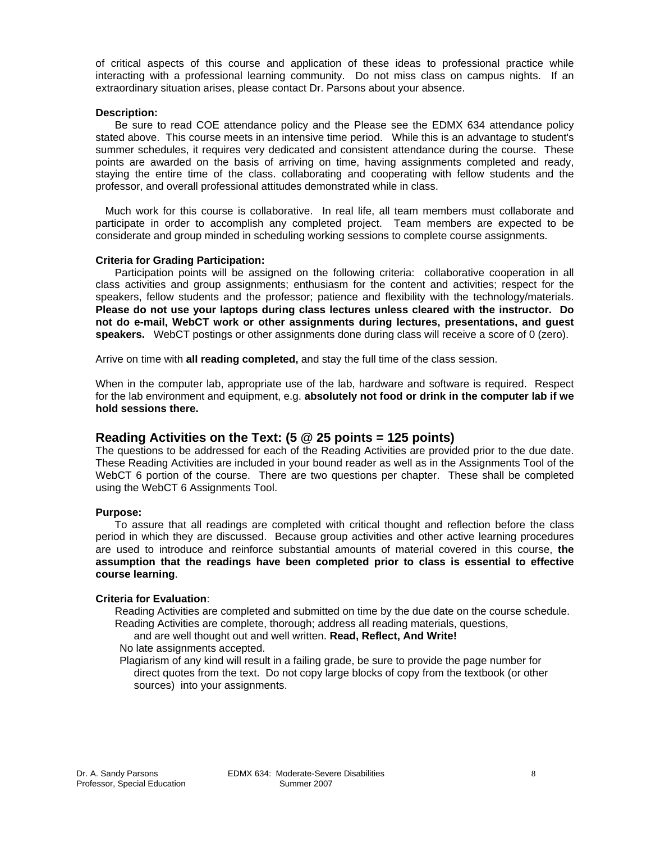of critical aspects of this course and application of these ideas to professional practice while interacting with a professional learning community. Do not miss class on campus nights. If an extraordinary situation arises, please contact Dr. Parsons about your absence.

#### **Description:**

 Be sure to read COE attendance policy and the Please see the EDMX 634 attendance policy stated above. This course meets in an intensive time period. While this is an advantage to student's summer schedules, it requires very dedicated and consistent attendance during the course. These points are awarded on the basis of arriving on time, having assignments completed and ready, staying the entire time of the class. collaborating and cooperating with fellow students and the professor, and overall professional attitudes demonstrated while in class.

 Much work for this course is collaborative. In real life, all team members must collaborate and participate in order to accomplish any completed project. Team members are expected to be considerate and group minded in scheduling working sessions to complete course assignments.

#### **Criteria for Grading Participation:**

 Participation points will be assigned on the following criteria: collaborative cooperation in all class activities and group assignments; enthusiasm for the content and activities; respect for the speakers, fellow students and the professor; patience and flexibility with the technology/materials. **Please do not use your laptops during class lectures unless cleared with the instructor. Do not do e-mail, WebCT work or other assignments during lectures, presentations, and guest speakers.** WebCT postings or other assignments done during class will receive a score of 0 (zero).

Arrive on time with **all reading completed,** and stay the full time of the class session.

When in the computer lab, appropriate use of the lab, hardware and software is required. Respect for the lab environment and equipment, e.g. **absolutely not food or drink in the computer lab if we hold sessions there.**

## **Reading Activities on the Text: (5 @ 25 points = 125 points)**

The questions to be addressed for each of the Reading Activities are provided prior to the due date. These Reading Activities are included in your bound reader as well as in the Assignments Tool of the WebCT 6 portion of the course. There are two questions per chapter. These shall be completed using the WebCT 6 Assignments Tool.

#### **Purpose:**

 To assure that all readings are completed with critical thought and reflection before the class period in which they are discussed. Because group activities and other active learning procedures are used to introduce and reinforce substantial amounts of material covered in this course, **the assumption that the readings have been completed prior to class is essential to effective course learning**.

#### **Criteria for Evaluation**:

- Reading Activities are completed and submitted on time by the due date on the course schedule. Reading Activities are complete, thorough; address all reading materials, questions,
	- and are well thought out and well written. **Read, Reflect, And Write!**
- No late assignments accepted.

Plagiarism of any kind will result in a failing grade, be sure to provide the page number for direct quotes from the text. Do not copy large blocks of copy from the textbook (or other sources) into your assignments.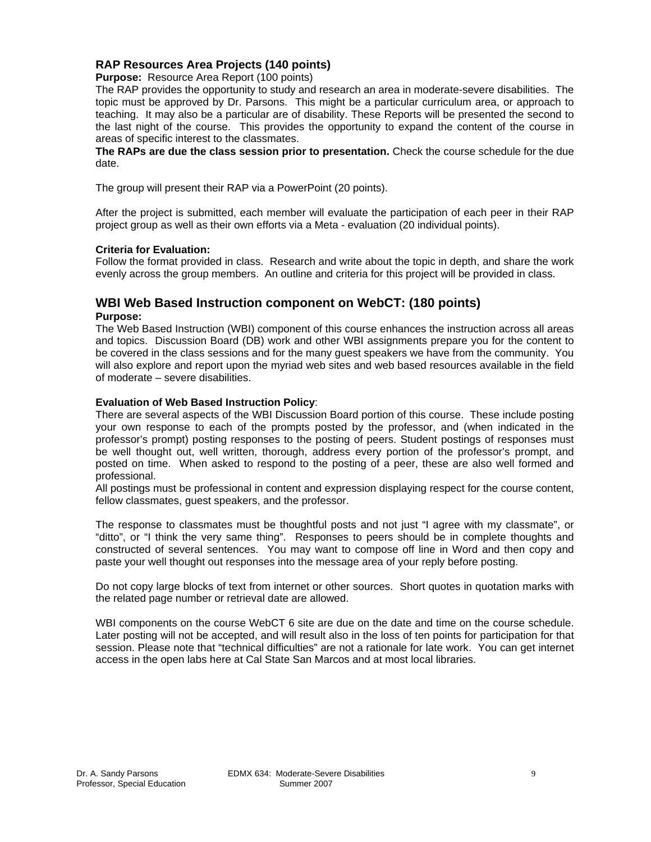## **RAP Resources Area Projects (140 points)**

**Purpose:** Resource Area Report (100 points)

The RAP provides the opportunity to study and research an area in moderate-severe disabilities. The topic must be approved by Dr. Parsons. This might be a particular curriculum area, or approach to teaching. It may also be a particular are of disability. These Reports will be presented the second to the last night of the course. This provides the opportunity to expand the content of the course in areas of specific interest to the classmates.

**The RAPs are due the class session prior to presentation.** Check the course schedule for the due date.

The group will present their RAP via a PowerPoint (20 points).

After the project is submitted, each member will evaluate the participation of each peer in their RAP project group as well as their own efforts via a Meta - evaluation (20 individual points).

#### **Criteria for Evaluation:**

Follow the format provided in class. Research and write about the topic in depth, and share the work evenly across the group members. An outline and criteria for this project will be provided in class.

## **WBI Web Based Instruction component on WebCT: (180 points) Purpose:**

The Web Based Instruction (WBI) component of this course enhances the instruction across all areas and topics. Discussion Board (DB) work and other WBI assignments prepare you for the content to be covered in the class sessions and for the many guest speakers we have from the community. You will also explore and report upon the myriad web sites and web based resources available in the field of moderate – severe disabilities.

#### **Evaluation of Web Based Instruction Policy**:

There are several aspects of the WBI Discussion Board portion of this course. These include posting your own response to each of the prompts posted by the professor, and (when indicated in the professor's prompt) posting responses to the posting of peers. Student postings of responses must be well thought out, well written, thorough, address every portion of the professor's prompt, and posted on time. When asked to respond to the posting of a peer, these are also well formed and professional.

All postings must be professional in content and expression displaying respect for the course content, fellow classmates, guest speakers, and the professor.

The response to classmates must be thoughtful posts and not just "I agree with my classmate", or "ditto", or "I think the very same thing". Responses to peers should be in complete thoughts and constructed of several sentences. You may want to compose off line in Word and then copy and paste your well thought out responses into the message area of your reply before posting.

Do not copy large blocks of text from internet or other sources. Short quotes in quotation marks with the related page number or retrieval date are allowed.

WBI components on the course WebCT 6 site are due on the date and time on the course schedule. Later posting will not be accepted, and will result also in the loss of ten points for participation for that session. Please note that "technical difficulties" are not a rationale for late work. You can get internet access in the open labs here at Cal State San Marcos and at most local libraries.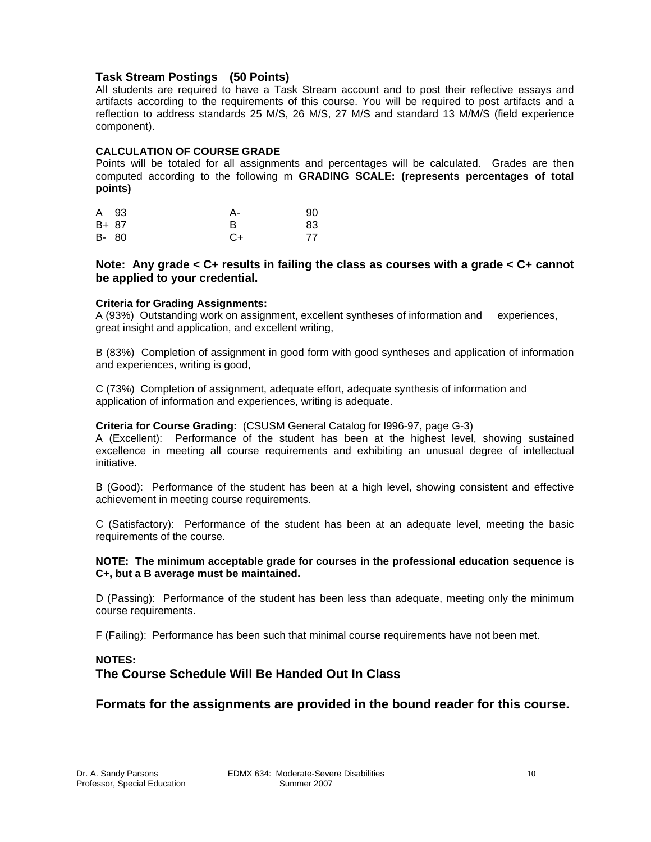## **Task Stream Postings (50 Points)**

All students are required to have a Task Stream account and to post their reflective essays and artifacts according to the requirements of this course. You will be required to post artifacts and a reflection to address standards 25 M/S, 26 M/S, 27 M/S and standard 13 M/M/S (field experience component).

## **CALCULATION OF COURSE GRADE**

Points will be totaled for all assignments and percentages will be calculated. Grades are then computed according to the following m **GRADING SCALE: (represents percentages of total points)** 

| A 93  | А-           | 90 |
|-------|--------------|----|
| B+ 87 | <sub>R</sub> | 83 |
| B- 80 | C+           | 77 |

## **Note: Any grade < C+ results in failing the class as courses with a grade < C+ cannot be applied to your credential.**

## **Criteria for Grading Assignments:**

A (93%) Outstanding work on assignment, excellent syntheses of information and experiences, great insight and application, and excellent writing,

B (83%) Completion of assignment in good form with good syntheses and application of information and experiences, writing is good,

C (73%) Completion of assignment, adequate effort, adequate synthesis of information and application of information and experiences, writing is adequate.

### **Criteria for Course Grading:** (CSUSM General Catalog for l996-97, page G-3)

A (Excellent): Performance of the student has been at the highest level, showing sustained excellence in meeting all course requirements and exhibiting an unusual degree of intellectual initiative.

B (Good): Performance of the student has been at a high level, showing consistent and effective achievement in meeting course requirements.

C (Satisfactory): Performance of the student has been at an adequate level, meeting the basic requirements of the course.

### **NOTE: The minimum acceptable grade for courses in the professional education sequence is C+, but a B average must be maintained.**

D (Passing): Performance of the student has been less than adequate, meeting only the minimum course requirements.

F (Failing): Performance has been such that minimal course requirements have not been met.

## **NOTES: The Course Schedule Will Be Handed Out In Class**

## **Formats for the assignments are provided in the bound reader for this course.**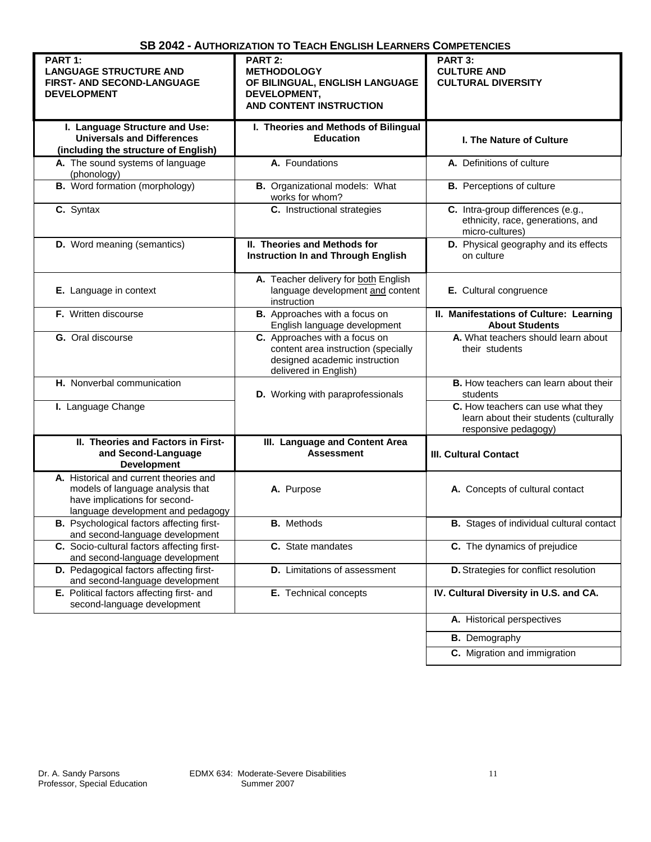| PART 1:                                      | PART 2:                                   | PART 3:                                         |
|----------------------------------------------|-------------------------------------------|-------------------------------------------------|
| <b>LANGUAGE STRUCTURE AND</b>                | <b>METHODOLOGY</b>                        | <b>CULTURE AND</b>                              |
| <b>FIRST- AND SECOND-LANGUAGE</b>            | OF BILINGUAL, ENGLISH LANGUAGE            | <b>CULTURAL DIVERSITY</b>                       |
|                                              |                                           |                                                 |
| <b>DEVELOPMENT</b>                           | DEVELOPMENT,                              |                                                 |
|                                              | AND CONTENT INSTRUCTION                   |                                                 |
|                                              |                                           |                                                 |
| I. Language Structure and Use:               | I. Theories and Methods of Bilingual      |                                                 |
| <b>Universals and Differences</b>            | <b>Education</b>                          | <b>I. The Nature of Culture</b>                 |
| (including the structure of English)         |                                           |                                                 |
| A. The sound systems of language             | A. Foundations                            | A. Definitions of culture                       |
| (phonology)                                  |                                           |                                                 |
| <b>B.</b> Word formation (morphology)        |                                           |                                                 |
|                                              | <b>B.</b> Organizational models: What     | <b>B.</b> Perceptions of culture                |
|                                              | works for whom?                           |                                                 |
| C. Syntax                                    | C. Instructional strategies               | C. Intra-group differences (e.g.,               |
|                                              |                                           | ethnicity, race, generations, and               |
|                                              |                                           | micro-cultures)                                 |
| <b>D.</b> Word meaning (semantics)           | II. Theories and Methods for              | D. Physical geography and its effects           |
|                                              |                                           |                                                 |
|                                              | <b>Instruction In and Through English</b> | on culture                                      |
|                                              |                                           |                                                 |
|                                              | A. Teacher delivery for both English      |                                                 |
| E. Language in context                       | language development and content          | E. Cultural congruence                          |
|                                              | instruction                               |                                                 |
| F. Written discourse                         | B. Approaches with a focus on             | II. Manifestations of Culture: Learning         |
|                                              | English language development              | <b>About Students</b>                           |
|                                              |                                           |                                                 |
| <b>G.</b> Oral discourse                     | C. Approaches with a focus on             | A. What teachers should learn about             |
|                                              | content area instruction (specially       | their students                                  |
|                                              | designed academic instruction             |                                                 |
|                                              | delivered in English)                     |                                                 |
| H. Nonverbal communication                   |                                           | <b>B.</b> How teachers can learn about their    |
|                                              | D. Working with paraprofessionals         | students                                        |
| I. Language Change                           |                                           | C. How teachers can use what they               |
|                                              |                                           |                                                 |
|                                              |                                           | learn about their students (culturally          |
|                                              |                                           | responsive pedagogy)                            |
| II. Theories and Factors in First-           | III. Language and Content Area            |                                                 |
| and Second-Language                          | <b>Assessment</b>                         | <b>III. Cultural Contact</b>                    |
| <b>Development</b>                           |                                           |                                                 |
| A. Historical and current theories and       |                                           |                                                 |
|                                              |                                           |                                                 |
| models of language analysis that             | A. Purpose                                | A. Concepts of cultural contact                 |
| have implications for second-                |                                           |                                                 |
| language development and pedagogy            |                                           |                                                 |
| Psychological factors affecting first-<br>В. | <b>B.</b> Methods                         | <b>B.</b> Stages of individual cultural contact |
| and second-language development              |                                           |                                                 |
| C. Socio-cultural factors affecting first-   | C. State mandates                         | C. The dynamics of prejudice                    |
| and second-language development              |                                           |                                                 |
|                                              |                                           |                                                 |
| D. Pedagogical factors affecting first-      | <b>D.</b> Limitations of assessment       | D. Strategies for conflict resolution           |
| and second-language development              |                                           |                                                 |
| E. Political factors affecting first- and    | E. Technical concepts                     | IV. Cultural Diversity in U.S. and CA.          |
| second-language development                  |                                           |                                                 |
|                                              |                                           |                                                 |
|                                              |                                           | A. Historical perspectives                      |
|                                              |                                           | <b>B.</b> Demography                            |
|                                              |                                           |                                                 |
|                                              |                                           | C. Migration and immigration                    |
|                                              |                                           |                                                 |